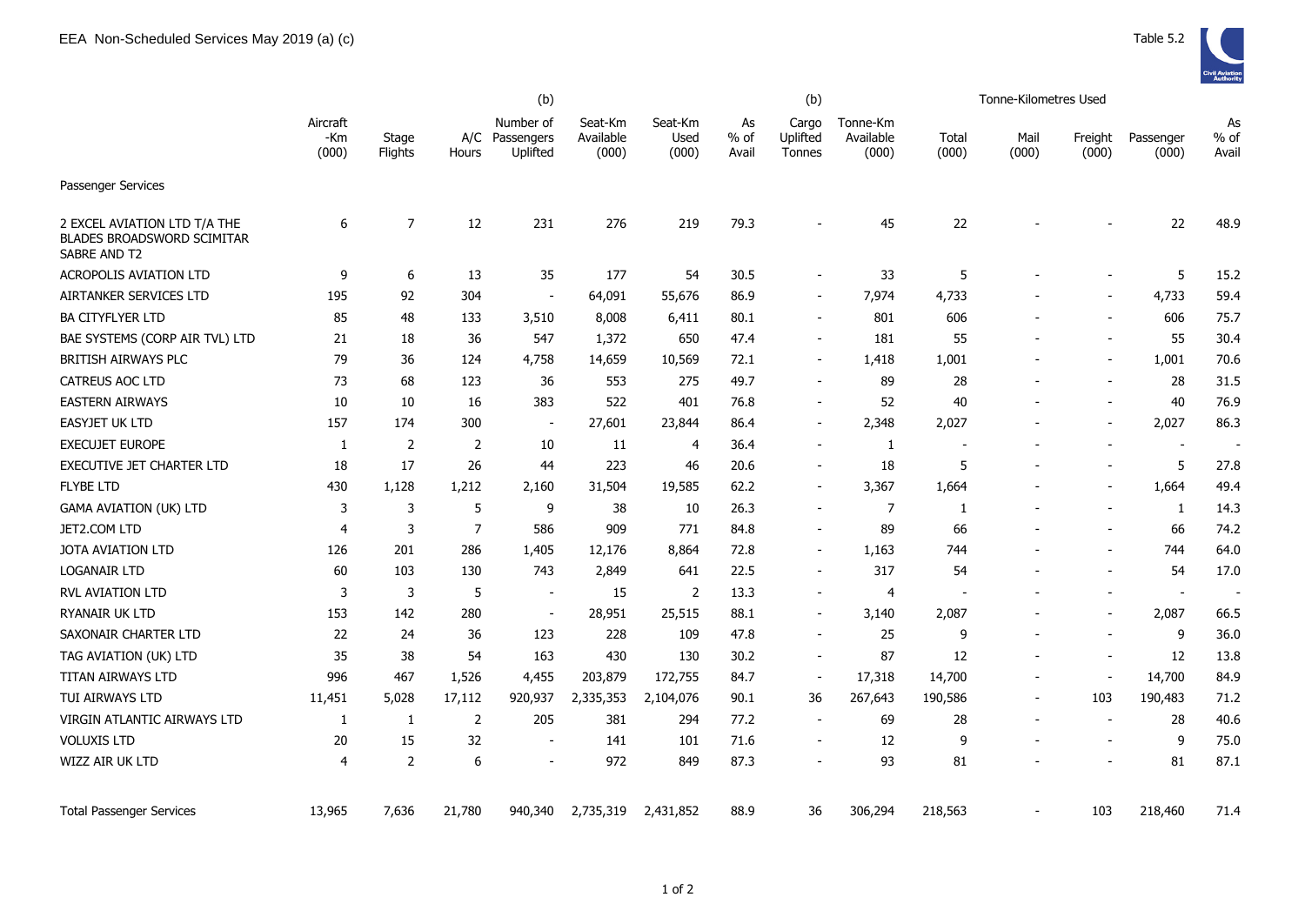|                                                                            | (b)                      |                  |                |                                     |                               |                          |                       | (b)                         |                                |                | Tonne-Kilometres Used |                          |                    |                     |
|----------------------------------------------------------------------------|--------------------------|------------------|----------------|-------------------------------------|-------------------------------|--------------------------|-----------------------|-----------------------------|--------------------------------|----------------|-----------------------|--------------------------|--------------------|---------------------|
|                                                                            | Aircraft<br>-Km<br>(000) | Stage<br>Flights | A/C<br>Hours   | Number of<br>Passengers<br>Uplifted | Seat-Km<br>Available<br>(000) | Seat-Km<br>Used<br>(000) | As<br>$%$ of<br>Avail | Cargo<br>Uplifted<br>Tonnes | Tonne-Km<br>Available<br>(000) | Total<br>(000) | Mail<br>(000)         | Freight<br>(000)         | Passenger<br>(000) | As<br>% of<br>Avail |
| Passenger Services                                                         |                          |                  |                |                                     |                               |                          |                       |                             |                                |                |                       |                          |                    |                     |
| 2 EXCEL AVIATION LTD T/A THE<br>BLADES BROADSWORD SCIMITAR<br>SABRE AND T2 | 6                        | $\overline{7}$   | 12             | 231                                 | 276                           | 219                      | 79.3                  |                             | 45                             | 22             |                       |                          | 22                 | 48.9                |
| <b>ACROPOLIS AVIATION LTD</b>                                              | 9                        | 6                | 13             | 35                                  | 177                           | 54                       | 30.5                  |                             | 33                             | 5              |                       |                          | 5                  | 15.2                |
| AIRTANKER SERVICES LTD                                                     | 195                      | 92               | 304            | $\sim$                              | 64,091                        | 55,676                   | 86.9                  | $\overline{\phantom{a}}$    | 7,974                          | 4,733          |                       | $\blacksquare$           | 4,733              | 59.4                |
| <b>BA CITYFLYER LTD</b>                                                    | 85                       | 48               | 133            | 3,510                               | 8,008                         | 6,411                    | 80.1                  | $\overline{a}$              | 801                            | 606            |                       |                          | 606                | 75.7                |
| BAE SYSTEMS (CORP AIR TVL) LTD                                             | 21                       | 18               | 36             | 547                                 | 1,372                         | 650                      | 47.4                  | $\overline{\phantom{a}}$    | 181                            | 55             |                       | $\overline{\phantom{a}}$ | 55                 | 30.4                |
| BRITISH AIRWAYS PLC                                                        | 79                       | 36               | 124            | 4,758                               | 14,659                        | 10,569                   | 72.1                  | $\overline{\phantom{a}}$    | 1,418                          | 1,001          |                       | $\blacksquare$           | 1,001              | 70.6                |
| <b>CATREUS AOC LTD</b>                                                     | 73                       | 68               | 123            | 36                                  | 553                           | 275                      | 49.7                  |                             | 89                             | 28             |                       |                          | 28                 | 31.5                |
| <b>EASTERN AIRWAYS</b>                                                     | 10                       | 10               | 16             | 383                                 | 522                           | 401                      | 76.8                  | $\overline{\phantom{a}}$    | 52                             | 40             |                       | $\overline{\phantom{a}}$ | 40                 | 76.9                |
| <b>EASYJET UK LTD</b>                                                      | 157                      | 174              | 300            | $\blacksquare$                      | 27,601                        | 23,844                   | 86.4                  | $\blacksquare$              | 2,348                          | 2,027          |                       |                          | 2,027              | 86.3                |
| <b>EXECUJET EUROPE</b>                                                     | -1                       | 2                | 2              | 10                                  | 11                            | 4                        | 36.4                  | $\overline{\phantom{a}}$    | $\mathbf{1}$                   |                |                       |                          | $\sim$             |                     |
| <b>EXECUTIVE JET CHARTER LTD</b>                                           | 18                       | 17               | 26             | 44                                  | 223                           | 46                       | 20.6                  |                             | 18                             | 5              |                       | $\overline{\phantom{a}}$ | 5                  | 27.8                |
| <b>FLYBE LTD</b>                                                           | 430                      | 1,128            | 1,212          | 2,160                               | 31,504                        | 19,585                   | 62.2                  | $\overline{\phantom{a}}$    | 3,367                          | 1,664          |                       | $\overline{\phantom{a}}$ | 1,664              | 49.4                |
| <b>GAMA AVIATION (UK) LTD</b>                                              | 3                        | 3                | 5              | 9                                   | 38                            | 10                       | 26.3                  |                             | $\overline{7}$                 | 1              |                       |                          | $\mathbf{1}$       | 14.3                |
| JET2.COM LTD                                                               | 4                        | 3                | $\overline{7}$ | 586                                 | 909                           | 771                      | 84.8                  | $\overline{\phantom{a}}$    | 89                             | 66             |                       |                          | 66                 | 74.2                |
| JOTA AVIATION LTD                                                          | 126                      | 201              | 286            | 1,405                               | 12,176                        | 8,864                    | 72.8                  | $\overline{\phantom{a}}$    | 1,163                          | 744            |                       |                          | 744                | 64.0                |
| <b>LOGANAIR LTD</b>                                                        | 60                       | 103              | 130            | 743                                 | 2,849                         | 641                      | 22.5                  | $\overline{\phantom{a}}$    | 317                            | 54             |                       |                          | 54                 | 17.0                |
| RVL AVIATION LTD                                                           | 3                        | 3                | 5              | $\overline{\phantom{a}}$            | 15                            | 2                        | 13.3                  | $\overline{\phantom{a}}$    | 4                              |                |                       |                          | $\blacksquare$     |                     |
| RYANAIR UK LTD                                                             | 153                      | 142              | 280            | $\blacksquare$                      | 28,951                        | 25,515                   | 88.1                  | $\blacksquare$              | 3,140                          | 2,087          |                       |                          | 2,087              | 66.5                |
| SAXONAIR CHARTER LTD                                                       | 22                       | 24               | 36             | 123                                 | 228                           | 109                      | 47.8                  |                             | 25                             | 9              |                       |                          | 9                  | 36.0                |
| TAG AVIATION (UK) LTD                                                      | 35                       | 38               | 54             | 163                                 | 430                           | 130                      | 30.2                  | $\overline{\phantom{a}}$    | 87                             | 12             |                       | $\overline{\phantom{a}}$ | 12                 | 13.8                |
| TITAN AIRWAYS LTD                                                          | 996                      | 467              | 1,526          | 4,455                               | 203,879                       | 172,755                  | 84.7                  | $\overline{\phantom{a}}$    | 17,318                         | 14,700         |                       |                          | 14,700             | 84.9                |
| TUI AIRWAYS LTD                                                            | 11,451                   | 5,028            | 17,112         | 920,937                             | 2,335,353                     | 2,104,076                | 90.1                  | 36                          | 267,643                        | 190,586        | $\blacksquare$        | 103                      | 190,483            | 71.2                |
| VIRGIN ATLANTIC AIRWAYS LTD                                                | 1                        | 1                | $\overline{2}$ | 205                                 | 381                           | 294                      | 77.2                  |                             | 69                             | 28             |                       |                          | 28                 | 40.6                |
| <b>VOLUXIS LTD</b>                                                         | 20                       | 15               | 32             |                                     | 141                           | 101                      | 71.6                  | $\overline{\phantom{a}}$    | 12                             | 9              |                       |                          | 9                  | 75.0                |
| WIZZ AIR UK LTD                                                            | 4                        | $\overline{2}$   | 6              | $\blacksquare$                      | 972                           | 849                      | 87.3                  | $\overline{\phantom{a}}$    | 93                             | 81             |                       |                          | 81                 | 87.1                |
| <b>Total Passenger Services</b>                                            | 13,965                   | 7,636            | 21,780         | 940,340                             | 2,735,319                     | 2,431,852                | 88.9                  | 36                          | 306,294                        | 218,563        |                       | 103                      | 218,460            | 71.4                |